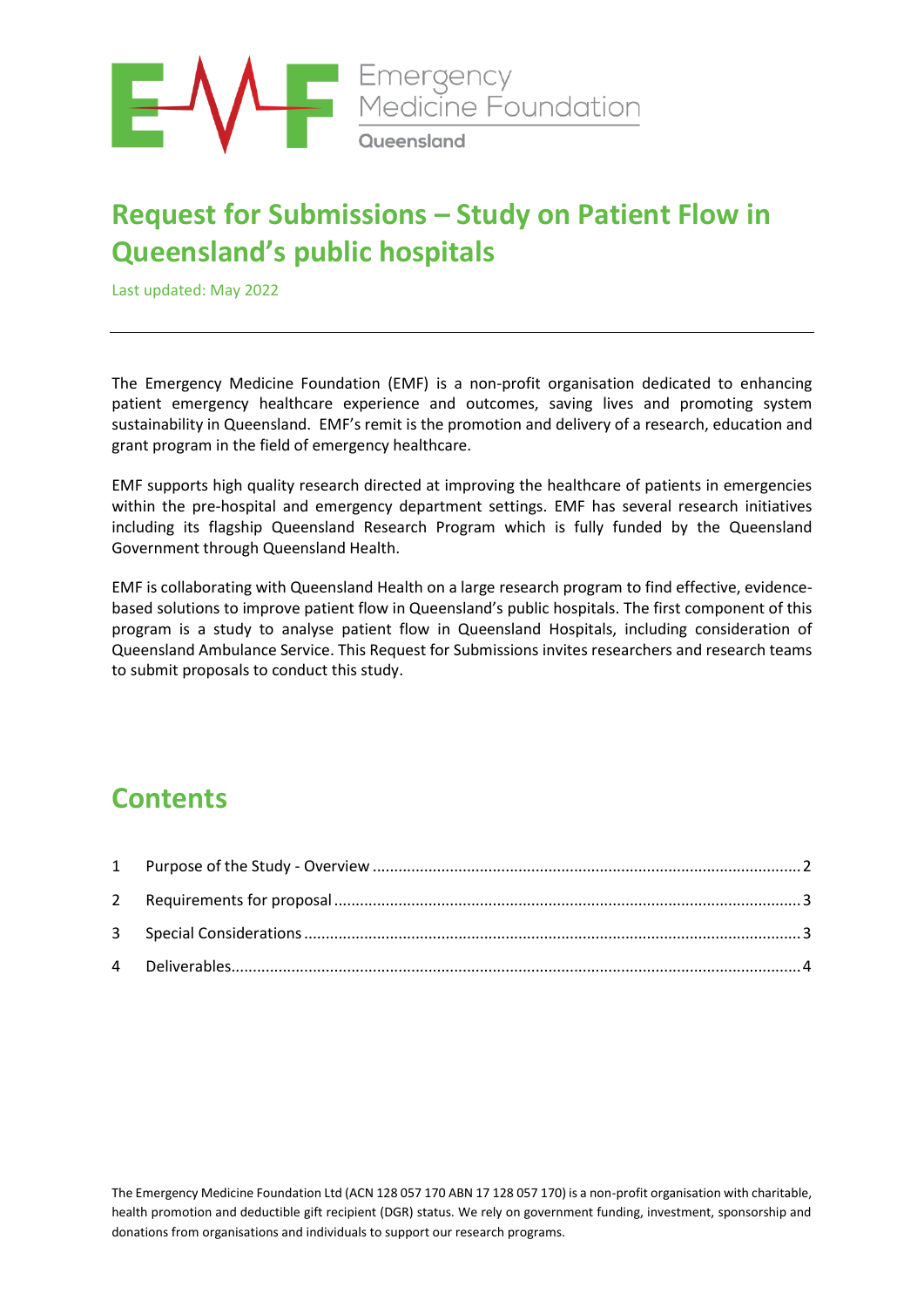

# **Request for Submissions – Study on Patient Flow in Queensland's public hospitals**

Last updated: May 2022

The Emergency Medicine Foundation (EMF) is a non-profit organisation dedicated to enhancing patient emergency healthcare experience and outcomes, saving lives and promoting system sustainability in Queensland. EMF's remit is the promotion and delivery of a research, education and grant program in the field of emergency healthcare.

EMF supports high quality research directed at improving the healthcare of patients in emergencies within the pre-hospital and emergency department settings. EMF has several research initiatives including its flagship Queensland Research Program which is fully funded by the Queensland Government through Queensland Health.

EMF is collaborating with Queensland Health on a large research program to find effective, evidencebased solutions to improve patient flow in Queensland's public hospitals. The first component of this program is a study to analyse patient flow in Queensland Hospitals, including consideration of Queensland Ambulance Service. This Request for Submissions invites researchers and research teams to submit proposals to conduct this study.

## **Contents**

The Emergency Medicine Foundation Ltd (ACN 128 057 170 ABN 17 128 057 170) is a non-profit organisation with charitable, health promotion and deductible gift recipient (DGR) status. We rely on government funding, investment, sponsorship and donations from organisations and individuals to support our research programs.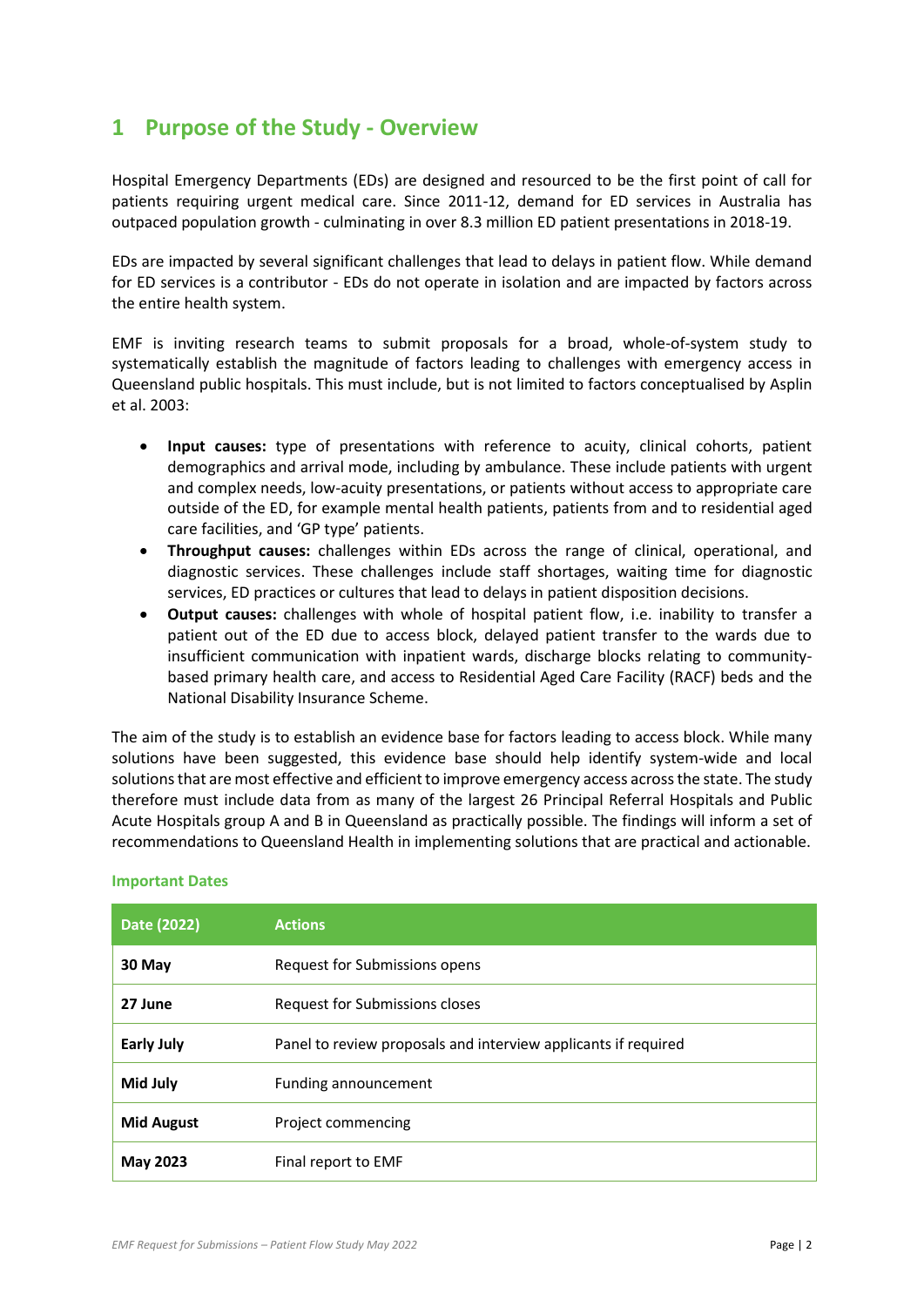### <span id="page-1-0"></span>**1 Purpose of the Study - Overview**

Hospital Emergency Departments (EDs) are designed and resourced to be the first point of call for patients requiring urgent medical care. Since 2011-12, demand for ED services in Australia has outpaced population growth - culminating in over 8.3 million ED patient presentations in 2018-19.

EDs are impacted by several significant challenges that lead to delays in patient flow. While demand for ED services is a contributor - EDs do not operate in isolation and are impacted by factors across the entire health system.

EMF is inviting research teams to submit proposals for a broad, whole-of-system study to systematically establish the magnitude of factors leading to challenges with emergency access in Queensland public hospitals. This must include, but is not limited to factors conceptualised by Asplin et al. 2003:

- **Input causes:** type of presentations with reference to acuity, clinical cohorts, patient demographics and arrival mode, including by ambulance. These include patients with urgent and complex needs, low-acuity presentations, or patients without access to appropriate care outside of the ED, for example mental health patients, patients from and to residential aged care facilities, and 'GP type' patients.
- **Throughput causes:** challenges within EDs across the range of clinical, operational, and diagnostic services. These challenges include staff shortages, waiting time for diagnostic services, ED practices or cultures that lead to delays in patient disposition decisions.
- **Output causes:** challenges with whole of hospital patient flow, i.e. inability to transfer a patient out of the ED due to access block, delayed patient transfer to the wards due to insufficient communication with inpatient wards, discharge blocks relating to communitybased primary health care, and access to Residential Aged Care Facility (RACF) beds and the National Disability Insurance Scheme.

The aim of the study is to establish an evidence base for factors leading to access block. While many solutions have been suggested, this evidence base should help identify system-wide and local solutions that are most effective and efficient to improve emergency access across the state. The study therefore must include data from as many of the largest 26 Principal Referral Hospitals and Public Acute Hospitals group A and B in Queensland as practically possible. The findings will inform a set of recommendations to Queensland Health in implementing solutions that are practical and actionable.

| Date (2022)       | <b>Actions</b>                                                 |
|-------------------|----------------------------------------------------------------|
| 30 May            | Request for Submissions opens                                  |
| 27 June           | Request for Submissions closes                                 |
| <b>Early July</b> | Panel to review proposals and interview applicants if required |
| Mid July          | Funding announcement                                           |
| <b>Mid August</b> | Project commencing                                             |
| May 2023          | Final report to EMF                                            |

#### **Important Dates**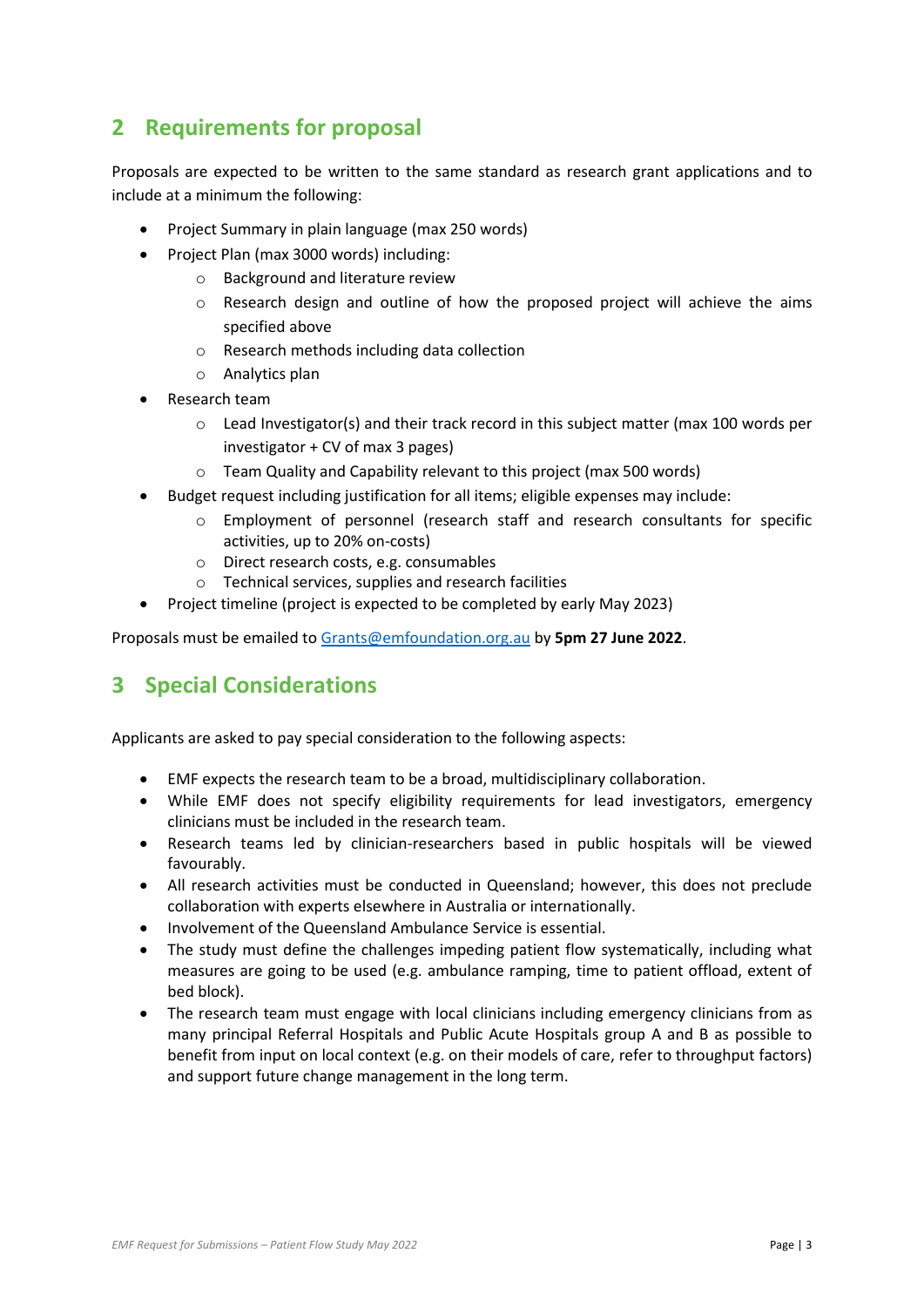### <span id="page-2-0"></span>**2 Requirements for proposal**

Proposals are expected to be written to the same standard as research grant applications and to include at a minimum the following:

- Project Summary in plain language (max 250 words)
- Project Plan (max 3000 words) including:
	- o Background and literature review
	- o Research design and outline of how the proposed project will achieve the aims specified above
	- o Research methods including data collection
	- o Analytics plan
- Research team
	- $\circ$  Lead Investigator(s) and their track record in this subject matter (max 100 words per investigator + CV of max 3 pages)
	- o Team Quality and Capability relevant to this project (max 500 words)
- Budget request including justification for all items; eligible expenses may include:
	- o Employment of personnel (research staff and research consultants for specific activities, up to 20% on-costs)
	- o Direct research costs, e.g. consumables
	- o Technical services, supplies and research facilities
- Project timeline (project is expected to be completed by early May 2023)

Proposals must be emailed to [Grants@emfoundation.org.au](mailto:Grants@emfoundation.org.au) by **5pm 27 June 2022**.

### <span id="page-2-1"></span>**3 Special Considerations**

Applicants are asked to pay special consideration to the following aspects:

- EMF expects the research team to be a broad, multidisciplinary collaboration.
- While EMF does not specify eligibility requirements for lead investigators, emergency clinicians must be included in the research team.
- Research teams led by clinician-researchers based in public hospitals will be viewed favourably.
- All research activities must be conducted in Queensland; however, this does not preclude collaboration with experts elsewhere in Australia or internationally.
- Involvement of the Queensland Ambulance Service is essential.
- The study must define the challenges impeding patient flow systematically, including what measures are going to be used (e.g. ambulance ramping, time to patient offload, extent of bed block).
- <span id="page-2-2"></span>• The research team must engage with local clinicians including emergency clinicians from as many principal Referral Hospitals and Public Acute Hospitals group A and B as possible to benefit from input on local context (e.g. on their models of care, refer to throughput factors) and support future change management in the long term.